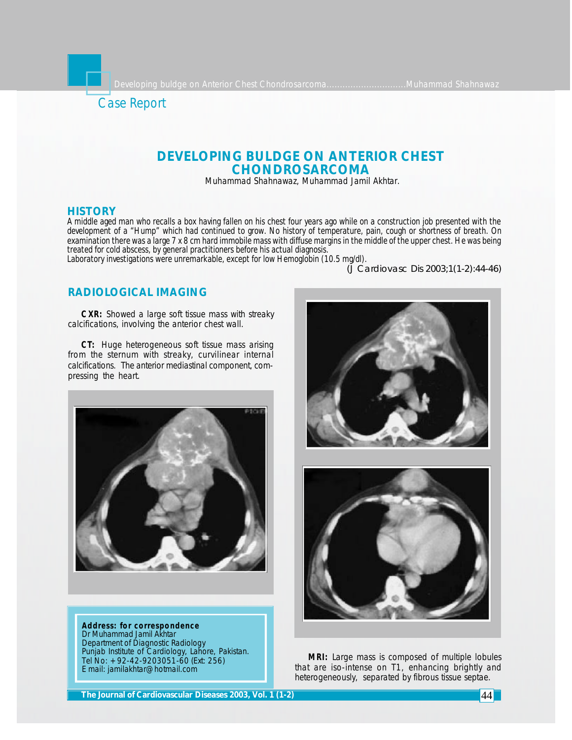

# **DEVELOPING BULDGE ON ANTERIOR CHEST CHONDROSARCOMA**

Muhammad Shahnawaz, Muhammad Jamil Akhtar.

## **HISTORY**

*A middle aged man who recalls a box having fallen on his chest four years ago while on a construction job presented with the development of a "Hump" which had continued to grow. No history of temperature, pain, cough or shortness of breath. On examination there was a large 7 x 8 cm hard immobile mass with diffuse margins in the middle of the upper chest. He was being treated for cold abscess, by general practitioners before his actual diagnosis.*

*Laboratory investigations were unremarkable, except for low Hemoglobin (10.5 mg/dl).*

*(J Cardiovasc Dis 2003;1(1-2):44-46)*

## **RADIOLOGICAL IMAGING**

**CXR:** Showed a large soft tissue mass with streaky calcifications, involving the anterior chest wall.

*CT:* Huge heterogeneous soft tissue mass arising from the sternum with streaky, curvilinear internal calcifications. The anterior mediastinal component, compressing the heart.



**Address: for correspondence** Dr Muhammad Jamil Akhtar Department of Diagnostic Radiology Punjab Institute of Cardiology, Lahore, Pakistan. Tel No: +92-42-9203051-60 (Ext: 256) E mail: jamilakhtar@hotmail.com



**MRI:** Large mass is composed of multiple lobules that are iso-intense on T1, enhancing brightly and heterogeneously, separated by fibrous tissue septae.

**The Journal of Cardiovascular Diseases 2003, Vol. 1 (1-2)** 44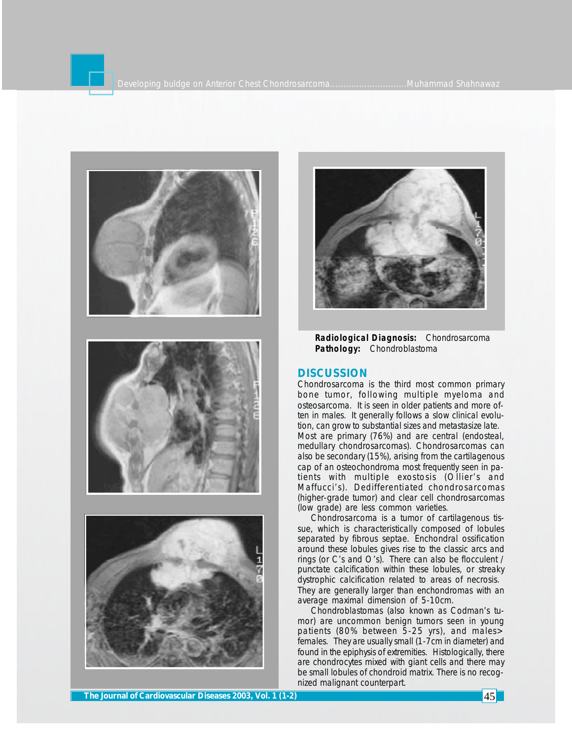



**Radiological Diagnosis:** Chondrosarcoma **Pathology:** Chondroblastoma

### **DISCUSSION**

Chondrosarcoma is the third most common primary bone tumor, following multiple myeloma and osteosarcoma. It is seen in older patients and more often in males. It generally follows a slow clinical evolution, can grow to substantial sizes and metastasize late. Most are primary (76%) and are central (endosteal, medullary chondrosarcomas). Chondrosarcomas can also be secondary (15%), arising from the cartilagenous cap of an osteochondroma most frequently seen in patients with multiple exostosis (Ollier's and Maffucci's). Dedifferentiated chondrosarcomas (higher-grade tumor) and clear cell chondrosarcomas (low grade) are less common varieties.

Chondrosarcoma is a tumor of cartilagenous tissue, which is characteristically composed of lobules separated by fibrous septae. Enchondral ossification around these lobules gives rise to the classic arcs and rings (or C's and O's). There can also be flocculent / punctate calcification within these lobules, or streaky dystrophic calcification related to areas of necrosis. They are generally larger than enchondromas with an average maximal dimension of 5-10cm.

Chondroblastomas (also known as Codman's tumor) are uncommon benign tumors seen in young patients (80% between 5-25 yrs), and males> females. They are usually small (1-7cm in diameter) and found in the epiphysis of extremities. Histologically, there are chondrocytes mixed with giant cells and there may be small lobules of chondroid matrix. There is no recognized malignant counterpart.